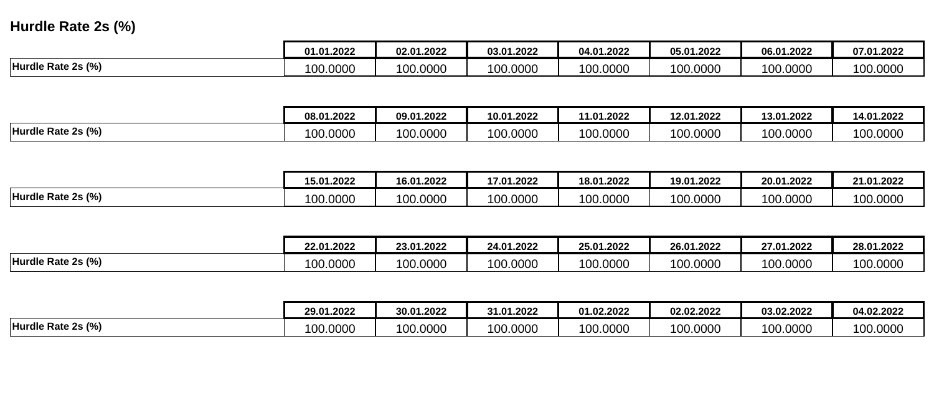# **Hurdle Rate 2s (%)**

|                    | ባ1.2022               | 02.01.2022    | 03.01.2022 | 04.01.2022 | 05.01.2022 | 06.01.2022 | 07.01.2022 |
|--------------------|-----------------------|---------------|------------|------------|------------|------------|------------|
| Hurdle Rate 2s (%) | 00.0000<br>$\sqrt{2}$ | 0000.0<br>100 | 100.0000   | 100.0000   | 100.0000   | 100.0000   | 100.0000   |

|                    | 08.01.2022     | 09.01.2022 | 10.01.2022            | 11.01.2022 | 12.01.2022 | 13.01.2022 | 14.01.2022 |
|--------------------|----------------|------------|-----------------------|------------|------------|------------|------------|
| Hurdle Rate 2s (%) | 00.0000<br>៱៱៱ | 100.0000   | 00.0000<br>$\sqrt{2}$ | 100.0000   | 100.0000   | 100.0000   | 100.0000   |

|                    | 15.01.2022     | 16.01.2022 | 17.01.2022                 | 18.01.2022 | 19.01.2022 | 20.01.2022 | 21.01.2022 |
|--------------------|----------------|------------|----------------------------|------------|------------|------------|------------|
| Hurdle Rate 2s (%) | 100.0000<br>∩∩ | 100.0000   | 00.0000<br>10 <sup>c</sup> | 100.0000   | 100.0000   | 100.0000   | 100.0000   |

|                    | 22.01.2022 | 23.01.2022 | 24.01.2022     | 25.01.2022                  | 26.01.2022            | 27.01.2022            | 28.01.2022 |
|--------------------|------------|------------|----------------|-----------------------------|-----------------------|-----------------------|------------|
| Hurdle Rate 2s (%) | 100.0000   | 100.0000   | 00.0000<br>^^^ | $\overline{100}$<br>00.0000 | 00.0000<br>$\sqrt{2}$ | $\sqrt{2}$<br>00.0000 | 100.0000   |

|                    | 29.01.2022 | 30.01.2022 | 31.01.2022 | 01.02.2022 | 02.02.2022 | 03.02.2022 | 04.02.2022 |
|--------------------|------------|------------|------------|------------|------------|------------|------------|
| Hurdle Rate 2s (%) | 100.0000   | 100.0000   | 00.0000    | 100.0000   | 100.0000   | 100.0000   | 100.0000   |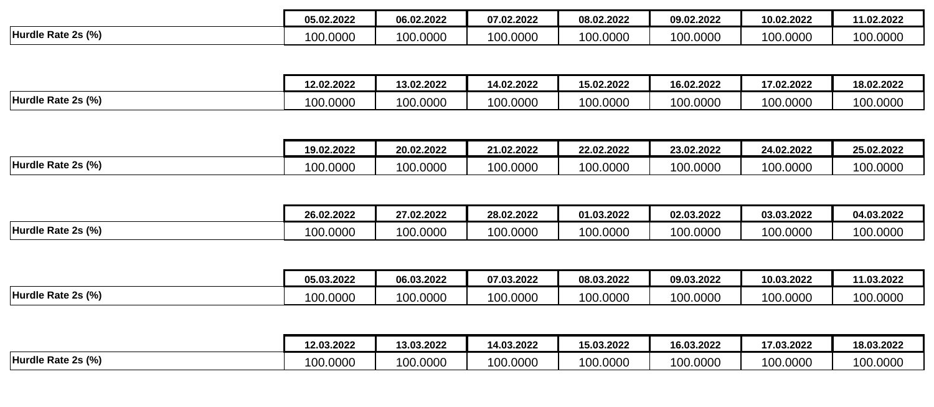|                    | 05.02.2022 | 06.02.2022 | 07.02.2022 | 08.02.2022 | 09.02.2022 | 10.02.2022 | 11.02.2022            |
|--------------------|------------|------------|------------|------------|------------|------------|-----------------------|
| Hurdle Rate 2s (%) | 100.0000   | 100.0000   | 100.0000   | 100.0000   | 100.0000   | 100.0000   | $\sqrt{2}$<br>00.0000 |

|                    | 12.02.2022 | 13.02.2022                | 14.02.2022            | 15.02.2022 | 16.02.2022 | 17.02.2022 | 18.02.2022 |
|--------------------|------------|---------------------------|-----------------------|------------|------------|------------|------------|
| Hurdle Rate 2s (%) | 100.0000   | 00.0000<br>$\overline{a}$ | 00.0000<br>$A \cap C$ | 100.0000   | 100.0000   | 100.0000   | 100.0000   |

|                    | 19.02.2022 | 20.02.2022 | 21.02.2022   | 22.02.2022 | 23.02.2022 | 24.02.2022 | 25.02.2022 |
|--------------------|------------|------------|--------------|------------|------------|------------|------------|
| Hurdle Rate 2s (%) | 00.0000    | 100.0000   | 00.0000<br>. | 100.0000   | 100.0000   | 100.0000   | 100.0000   |

|                    | 26.02.2022            | 27.02.2022 | 28.02.2022 | 01.03.2022        | 02.03.2022 | 03.03.2022 | 04.03.2022 |
|--------------------|-----------------------|------------|------------|-------------------|------------|------------|------------|
| Hurdle Rate 2s (%) | 00.0000<br>$\sqrt{2}$ | 100.0000   | 100.0000   | 00.0000<br>$\sim$ | 100.0000   | 100.0000   | 100.0000   |

|                    | 05.03.2022 | 06.03.2022 | 07.03.2022 | 08.03.2022 | 09.03.2022 | 10.03.2022 | 11.03.2022            |
|--------------------|------------|------------|------------|------------|------------|------------|-----------------------|
| Hurdle Rate 2s (%) | 100.0000   | 100.0000   | 100.0000   | 100.0000   | 100.0000   | 00.0000    | $\sqrt{2}$<br>00.0000 |

|                    | 12.03.2022   | 13.03.2022 | 14.03.2022 | 15.03.2022 | 16.03.2022 | 17.03.2022     | 18.03.2022        |
|--------------------|--------------|------------|------------|------------|------------|----------------|-------------------|
| Hurdle Rate 2s (%) | 00.0000<br>. | 100.0000   | 100.0000   | 100.0000   | 100.0000   | 00.0000<br>100 | 00.0000<br>$\sim$ |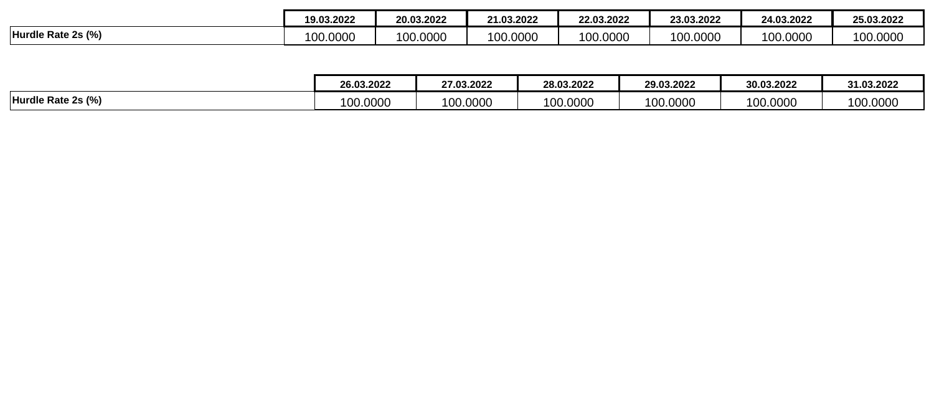|                    | 19.03.2022 | 20.03.2022        | 21.03.2022<br>ົ | 22.03.2022 | 23.03.2022 | 24.03.2022 | 25.03.2022 |
|--------------------|------------|-------------------|-----------------|------------|------------|------------|------------|
| Hurdle Rate 2s (%) | 100.0000   | 00.0000<br>$\sim$ | 100.0000        | 100.0000   | 100.0000   | 100.0000   | 100.0000   |

|                    | 26.03.2022                | 27.03.2022                | 28.03.2022             | 29.03.2022 | 30.03.2022 | 31.03.2022 |
|--------------------|---------------------------|---------------------------|------------------------|------------|------------|------------|
| Hurdle Rate 2s (%) | 00.0000<br>$\overline{a}$ | $\overline{A}$<br>00.0000 | 100.0000<br>$\sqrt{2}$ | 100.0000   | 100.0000   | 100.0000   |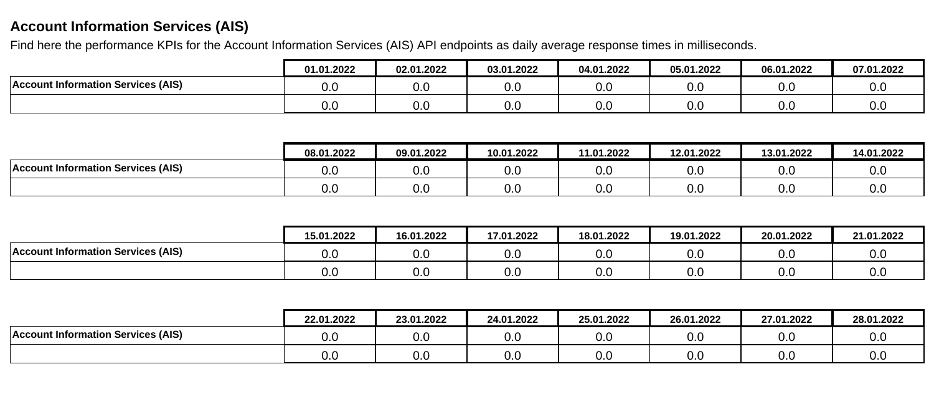# **Account Information Services (AIS)**

Find here the performance KPIs for the Account Information Services (AIS) API endpoints as daily average response times in milliseconds.

|                                           | 01.01.2022 | 02.01.2022           | 03.01.2022 | 04.01.2022 | 05.01.2022      | 06.01.2022 | 07.01.2022 |
|-------------------------------------------|------------|----------------------|------------|------------|-----------------|------------|------------|
| <b>Account Information Services (AIS)</b> | 0.ບ        | $\sim$ $\sim$<br>v.v | v.v        | 0.0        | 0.0             | v.v        | v.v        |
|                                           | v.u        | ົ<br>v.v             | v.v        | 0.0        | 0. <sub>C</sub> | v.v        | v.v        |

|                                           | 08.01.2022 | 09.01.2022 | 10.01.2022 | 11.01.2022      | 12.01.2022 | 13.01.2022 | 14.01.2022 |
|-------------------------------------------|------------|------------|------------|-----------------|------------|------------|------------|
| <b>Account Information Services (AIS)</b> | v.u        | v.v        | 0.0        | 0.0             | ∪.∪        | 0.0        | v.u        |
|                                           | v.u        | v.v        | 0.0        | 0. <sub>C</sub> | v.v        | 0.0        | v.u        |

|                                           | 15.01.2022 | 16.01.2022 | 17.01.2022 | 18.01.2022 | 19.01.2022 | 20.01.2022 | 21.01.2022 |
|-------------------------------------------|------------|------------|------------|------------|------------|------------|------------|
| <b>Account Information Services (AIS)</b> | v.u        | 0.0        | J.L        | v.v        | 0.C        | v.u        | v.J        |
|                                           | v.u        | 0.0        | v.u        | v.v        | 0.C        | v.u        | v.v        |

|                                           | 22.01.2022 | 23.01.2022 | 24.01.2022 | 25.01.2022 | 26.01.2022 | 27.01.2022 | 28.01.2022 |
|-------------------------------------------|------------|------------|------------|------------|------------|------------|------------|
| <b>Account Information Services (AIS)</b> | 0.0        | v.u        | v.v        | 0.0        | 0.0        | 0.0        | 0.0        |
|                                           | 0.0        | v.u        | v.v        | 0.0        | 0.0        | 0.0        | 0.0        |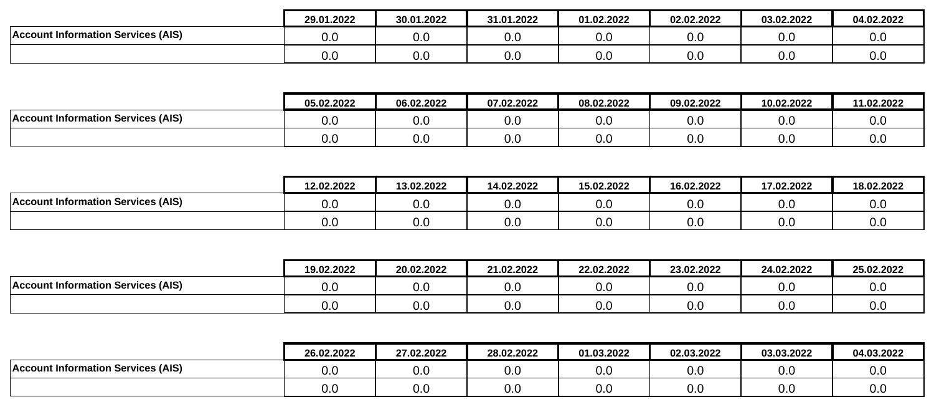|                                             | 29.01.2022           | 30.01.2022 | 31.01.2022 | 01.02.2022 | 02.02.2022      | 03.02.2022 | 04.02.2022 |
|---------------------------------------------|----------------------|------------|------------|------------|-----------------|------------|------------|
| t Information Services (AIS)<br>⊺Account Ir | u.l                  | v.v        | 0.0        | v.v        | 0. <sub>C</sub> | v.v        | 0.0        |
|                                             | $\sim$ $\sim$<br>O.C | v.v        | 0.C        | v.v        | 0. <sub>C</sub> | v.v        | 0.0        |

|                                           | 05.02.2022 | 06.02.2022 | 07.02.2022 | 08.02.2022 | 09.02.2022 | 10.02.2022 | 11.02.2022 |
|-------------------------------------------|------------|------------|------------|------------|------------|------------|------------|
| <b>Account Information Services (AIS)</b> | 0.0        | 0.0        | v.u        | v.v        | v.v        | v.J        | v.u        |
|                                           | 0.0        | 0.0        | v.u        | v.v        | v.v        | v.u        | v.u        |

|                                           | 12.02.2022 | 13.02.2022 | 14.02.2022 | 15.02.2022 | 16.02.2022 | 17.02.2022 | 18.02.2022 |
|-------------------------------------------|------------|------------|------------|------------|------------|------------|------------|
| <b>Account Information Services (AIS)</b> | u.u        | v.J        | v.v        | 0.0        | v.J        | 0.0        | U.U        |
|                                           | U.C        | ∪.∪        | v.v        | 0.0        | v.v        | 0.0        | U.U        |

|                                           | 19.02.2022 | 20.02.2022 | 21.02.2022 | 22.02.2022 | 23.02.2022           | 24.02.2022 | 25.02.2022 |
|-------------------------------------------|------------|------------|------------|------------|----------------------|------------|------------|
| <b>Account Information Services (AIS)</b> | v.v        | ∩ ∩<br>v.v | 0.0        | 0.0        | $\sim$ $\sim$<br>v.v | 0.0        | v.u        |
|                                           | v.v        | ∩ ∩<br>v.v | 0.C        | 0.0        | $\sim$ $\sim$<br>v.v | 0.0        | v.u        |

|                                           | 26.02.2022 | 27.02.2022 | 28.02.2022 | 01.03.2022 | 02.03.2022 | 03.03.2022 | 04.03.2022 |
|-------------------------------------------|------------|------------|------------|------------|------------|------------|------------|
| <b>Account Information Services (AIS)</b> | v.v        | 0.C        | 0.C        | v.v        | 0.0        | 0.0        | v.v        |
|                                           | v.u        | 0.0        | 0.C        | v.v        | 0.0        | 0.0        | v.v        |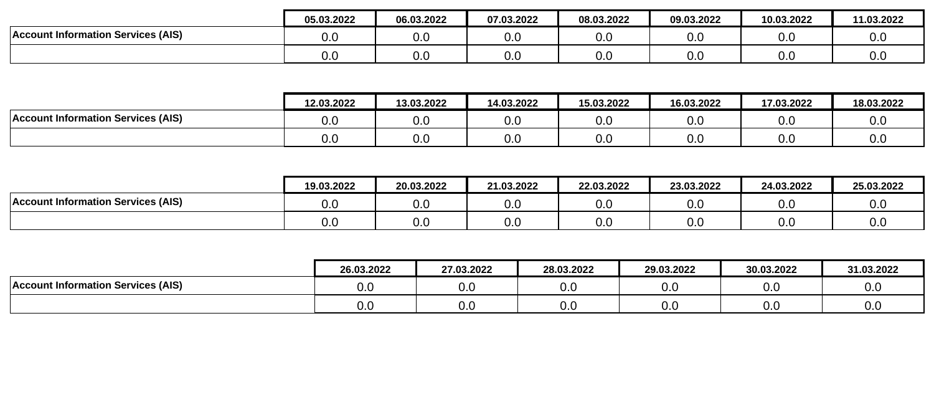|                                           | 05.03.2022 | 06.03.2022 | 07.03.2022 | 08.03.2022 | 09.03.2022 | 10.03.2022           | 11.03.2022 |
|-------------------------------------------|------------|------------|------------|------------|------------|----------------------|------------|
| <b>Account Information Services (AIS)</b> | 0.0        | v.v        | 0.C        | v.v        | 0.0        | $\cap$ $\cap$<br>v.v | 0.0        |
|                                           | 0.0        | v.v        | 0.0        | v.v        | 0.0        | ∩ ∩<br>v.v           | 0.0        |

|                                           | 12.03.2022 | 13.03.2022 | 14.03.2022 | 15.03.2022 | 16.03.2022 | 17.03.2022      | 18.03.2022 |
|-------------------------------------------|------------|------------|------------|------------|------------|-----------------|------------|
| <b>Account Information Services (AIS)</b> | u.u        | 0.0        | 0.0        | v.v        | 0.0        | 0. <sub>C</sub> | v.u        |
|                                           | v.u        | 0.0        | 0.0        | v.v        | 0.0        | 0. <sub>C</sub> | v.u        |

|                                           | 19.03.2022 | 20.03.2022           | 21.03.2022      | 22.03.2022 | 23.03.2022 | 24.03.2022 | 25.03.2022 |
|-------------------------------------------|------------|----------------------|-----------------|------------|------------|------------|------------|
| <b>Account Information Services (AIS)</b> | v.u        | $\sim$ $\sim$<br>v.v | 0.0             | v.v        | 0.0        | 0.0        | 0.0        |
|                                           | v.u        | $\sim$ $\sim$<br>v.v | 0. <sub>C</sub> | v.v        | 0.0        | v.u        | v.u        |

|                                           | 26.03.2022 | 27.03.2022 | 28.03.2022 | 29.03.2022    | 30.03.2022 | 31.03.2022 |
|-------------------------------------------|------------|------------|------------|---------------|------------|------------|
| <b>Account Information Services (AIS)</b> | 0.C        | v.v        | 0.C        | $\sim$<br>v.v | ◡.◡        | 0.0        |
|                                           | 0.0        | v.u        | 0.C        | v.v           | v.v        | 0.0        |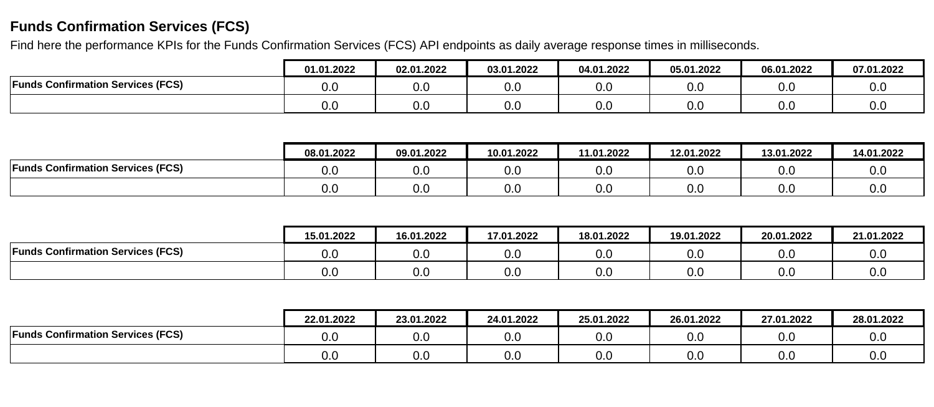## **Funds Confirmation Services (FCS)**

Find here the performance KPIs for the Funds Confirmation Services (FCS) API endpoints as daily average response times in milliseconds.

|                                          | 01.01.2022 | 02.01.2022 | 03.01.2022 | 04.01.2022 | 05.01.2022           | 06.01.2022 | 07.01.2022 |
|------------------------------------------|------------|------------|------------|------------|----------------------|------------|------------|
| <b>Funds Confirmation Services (FCS)</b> | o.c        | ົ<br>v.v   | v.v        | v.v        | $\sim$ $\sim$<br>v.u | 0.0        | v.v        |
|                                          | v.u        | v.v        | v.v        | v.u        | v.u                  | 0.0        | v.v        |

|                                          | 08.01.2022 | 09.01.2022 | 10.01.2022 | 11.01.2022 | 12.01.2022 | 13.01.2022      | 14.01.2022 |
|------------------------------------------|------------|------------|------------|------------|------------|-----------------|------------|
| <b>Funds Confirmation Services (FCS)</b> | v.u        | v.v        | 0.0        | v.J        | v.v        | 0. <sub>C</sub> | v.u        |
|                                          | v.u        | v.v        | 0.0        | v.J        | ∪.∪        | 0. <sub>C</sub> | v.u        |

|                                          | 15.01.2022 | 16.01.2022 | 17.01.2022 | 18.01.2022 | 19.01.2022 | 20.01.2022      | 21.01.2022 |
|------------------------------------------|------------|------------|------------|------------|------------|-----------------|------------|
| <b>Funds Confirmation Services (FCS)</b> | 0.0        | 0.C        | 0.C        | v.v        | v.v        | 0. <sub>C</sub> | v.l        |
|                                          | 0.0        | 0.C        | 0.0        | v.v        | v.v        | 0. <sub>C</sub> | v.u        |

|                                          | 22.01.2022 | 23.01.2022 | 24.01.2022 | 25.01.2022 | 26.01.2022 | 27.01.2022 | 28.01.2022 |
|------------------------------------------|------------|------------|------------|------------|------------|------------|------------|
| <b>Funds Confirmation Services (FCS)</b> | O.O        | v.v        | 0.0        | 0.0        | v.v        | 0.0        | 0.0        |
|                                          | 0.0        | v.v        | 0.0        | 0.0        | v.v        | 0.0        | 0.0        |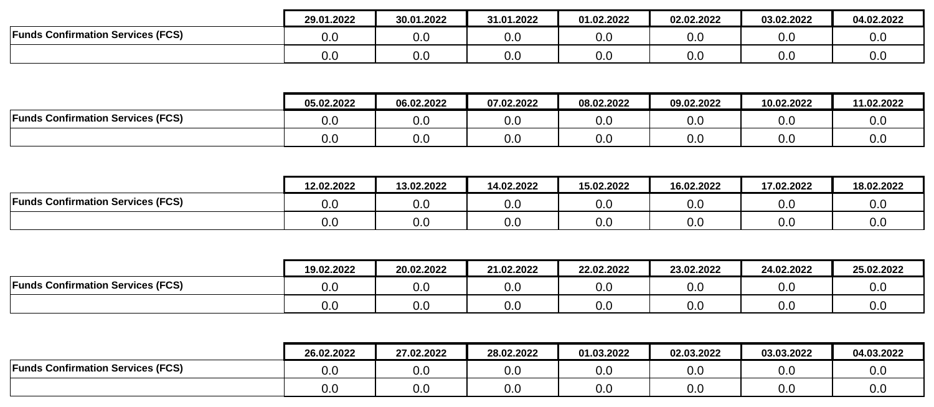|                                          | 29.01.2022 | 30.01.2022 | 31.01.2022 | 01.02.2022      | 02.02.2022 | 03.02.2022 | 04.02.2022 |
|------------------------------------------|------------|------------|------------|-----------------|------------|------------|------------|
| <b>Funds Confirmation Services (FCS)</b> | 0.0        | v.v        | 0.C        | <u>ົ</u><br>v.v | 0.0        | 0.0        | 0.0        |
|                                          | 0.0        | v.v        | 0.0        | <u>ົ</u><br>v.v | 0.0        | 0.0        | 0.0        |

|                                          | 05.02.2022 | 06.02.2022 | 07.02.2022 | 08.02.2022 | 09.02.2022    | 10.02.2022           | 11.02.2022 |
|------------------------------------------|------------|------------|------------|------------|---------------|----------------------|------------|
| <b>Funds Confirmation Services (FCS)</b> | 0.0        | 0.0        | 0.C        | v.v        | $\sim$<br>v.v | v.u                  | v.u        |
|                                          | 0.0        | 0.C        | 0.C        | v.v        | v.v           | $\cap$ $\cap$<br>v.u | v.u        |

|                                          | 12.02.2022 | 13.02.2022           | 14.02.2022 | 15.02.2022 | 16.02.2022 | 17.02.2022 | 18.02.2022 |
|------------------------------------------|------------|----------------------|------------|------------|------------|------------|------------|
| <b>Funds Confirmation Services (FCS)</b> | 0.0        | $\sim$ $\sim$<br>v.v | 0.0        | ∩ ∩<br>v.v | 0.0        | 0.0        | v.v        |
|                                          | 0.0        | v.v                  | 0.0        | v.v        | 0.0        | 0.0        | v.v        |

|                                          | 19.02.2022 | 20.02.2022 | 21.02.2022 | 22.02.2022 | 23.02.2022           | 24.02.2022 | 25.02.2022 |
|------------------------------------------|------------|------------|------------|------------|----------------------|------------|------------|
| <b>Funds Confirmation Services (FCS)</b> | v.v        | ∩ ∩<br>v.v | 0.0        | 0.0        | ∩ ∩<br>v.v           | 0.0        | v.u        |
|                                          | v.v        | ∩ ∩<br>v.v | v.u        | 0.0        | $\cap$ $\cap$<br>v.v | 0.0        | v.u        |

|                                          | 26.02.2022 | 27.02.2022 | 28.02.2022 | 01.03.2022 | 02.03.2022 | 03.03.2022 | 04.03.2022 |
|------------------------------------------|------------|------------|------------|------------|------------|------------|------------|
| <b>Funds Confirmation Services (FCS)</b> | v.v        | 0.C        | v.u        | v.v        | 0.0        | 0.0        | v.v        |
|                                          | v.v        | 0.0        | v.u        | v.v        | 0.0        | 0.0        | v.v        |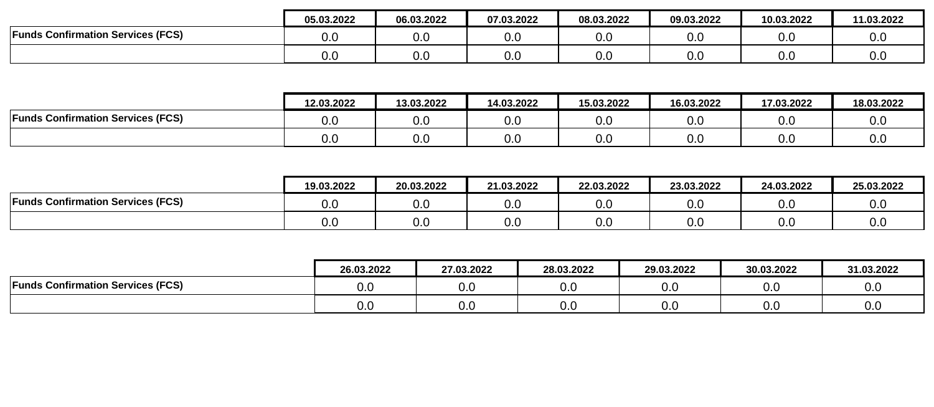|                                          | 05.03.2022 | 06.03.2022 | 07.03.2022 | 08.03.2022      | 09.03.2022 | 10.03.2022 | 11.03.2022 |
|------------------------------------------|------------|------------|------------|-----------------|------------|------------|------------|
| <b>Funds Confirmation Services (FCS)</b> | 0.0        | v.v        | 0.C        | <u>ົ</u><br>v.v | 0.0        | 0.0        | 0.0        |
|                                          | 0.0        | v.v        | 0.0        | <u>ົ</u><br>v.v | 0.0        | 0.0        | 0.0        |

|                                          | 12.03.2022 | 13.03.2022 | 14.03.2022 | 15.03.2022 | 16.03.2022 | 17.03.2022      | 18.03.2022 |
|------------------------------------------|------------|------------|------------|------------|------------|-----------------|------------|
| <b>Funds Confirmation Services (FCS)</b> | 0.0        | v.J        | ∪.∪        | v.v        | 0.0        | 0.0             | v.u        |
|                                          | V.U        | v.u        | v.v        | v.v        | 0.0        | 0. <sub>C</sub> | v.u        |

|                                          | 19.03.2022 | 20.03.2022           | 21.03.2022 | 22.03.2022 | 23.03.2022 | 24.03.2022 | 25.03.2022 |
|------------------------------------------|------------|----------------------|------------|------------|------------|------------|------------|
| <b>Funds Confirmation Services (FCS)</b> | 0.C        | $\sim$ $\sim$<br>v.v | 0.C        | 0.0        | v.v        | 0.0        | v.u        |
|                                          | 0.0        | ^ ^<br>v.v           | 0.C        | 0.0        | v.v        | 0.0        | v.u        |

|                                                      | 26.03.2022 | 27.03.2022      | 28.03.2022 | 29.03.2022 | 30.03.2022 | 31.03.2022 |
|------------------------------------------------------|------------|-----------------|------------|------------|------------|------------|
| <b>S Confirmation Services (FCS)</b><br><b>Funds</b> | 0.0        | 0. <sub>C</sub> | ∪.∪        | v.u        | 0.0        | v.v        |
|                                                      | 0.0        | 0.0             | v.v        | v.v        | 0.0        | v.v        |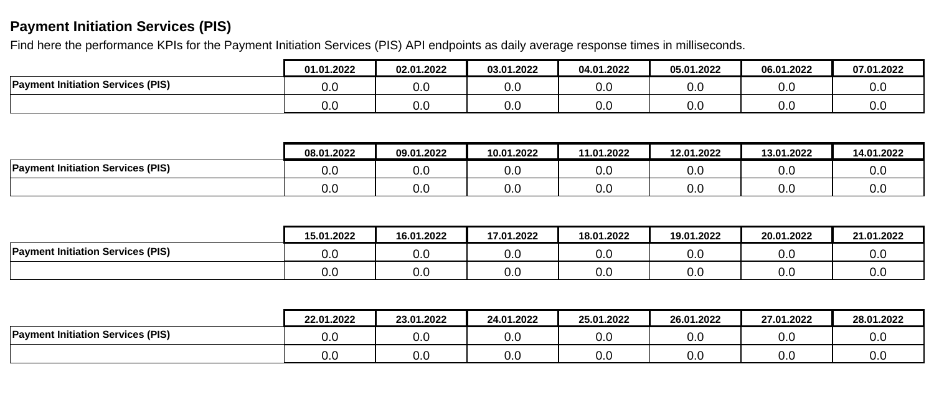# **Payment Initiation Services (PIS)**

Find here the performance KPIs for the Payment Initiation Services (PIS) API endpoints as daily average response times in milliseconds.

|                                          | 01.01.2022 | 02.01.2022           | 03.01.2022 | 04.01.2022 | 05.01.2022             | 06.01.2022 | 07.01.2022 |
|------------------------------------------|------------|----------------------|------------|------------|------------------------|------------|------------|
| <b>Payment Initiation Services (PIS)</b> | o.c        | $\sim$ $\sim$<br>v.v | 0.0        | 0.0        | 0.0                    | v.u        | 0.0        |
|                                          | U.C        | ົ<br>v.v             | 0.0        | 0.0        | $\overline{10}$<br>v.v | v.u        | 0.0        |

|                                          | 08.01.2022 | 09.01.2022 | 10.01.2022 | 11.01.2022      | 12.01.2022 | 13.01.2022 | 14.01.2022 |
|------------------------------------------|------------|------------|------------|-----------------|------------|------------|------------|
| <b>Payment Initiation Services (PIS)</b> | u.u        | 0.0        | v.v        | 0. <sub>C</sub> | v.v        | 0.0        | v.u        |
|                                          | v.u        | 0.0        | v.u        | 0.0             | v.v        | 0.0        | v.u        |

|                                          | 15.01.2022 | 16.01.2022 | 17.01.2022 | 18.01.2022 | 19.01.2022 | 20.01.2022 | 21.01.2022 |
|------------------------------------------|------------|------------|------------|------------|------------|------------|------------|
| <b>Payment Initiation Services (PIS)</b> | v.v        | 0.0        | 0.0        | 0.0        | v.v        | 0.0        | v.u        |
|                                          | v.v        | 0.0        | 0.0        | 0.0        | v.v        | 0.0        | v.u        |

|                                          | 22.01.2022 | 23.01.2022 | 24.01.2022 | 25.01.2022 | 26.01.2022 | 27.01.2022 | 28.01.2022 |
|------------------------------------------|------------|------------|------------|------------|------------|------------|------------|
| <b>Payment Initiation Services (PIS)</b> | 0.0        | v.u        | v.v        | 0.0        | 0.0        | 0.0        | 0.0        |
|                                          | 0.0        | 0.0        | v.v        | 0.0        | 0.0        | 0.0        | 0.0        |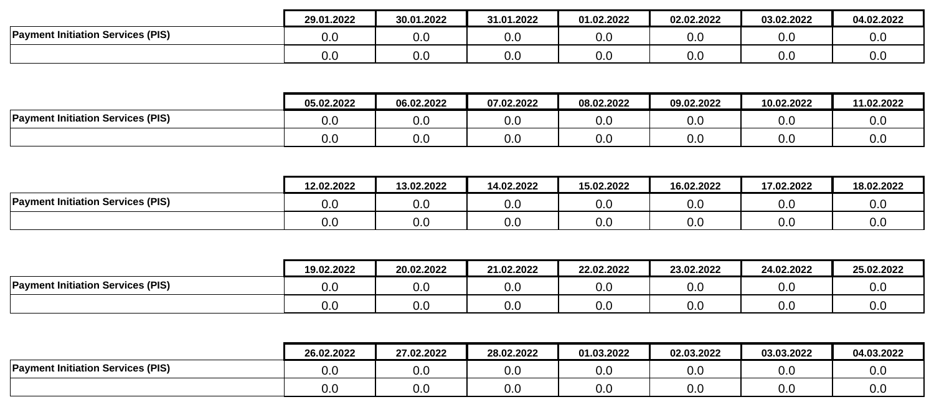|                                          | 29.01.2022           | 30.01.2022 | 31.01.2022 | 01.02.2022 | 02.02.2022      | 03.02.2022 | 04.02.2022      |
|------------------------------------------|----------------------|------------|------------|------------|-----------------|------------|-----------------|
| <b>Payment Initiation Services (PIS)</b> | v.l                  | v.v        | 0.0        | v.v        | 0. <sub>C</sub> | v.v        | $\Omega$<br>v.u |
|                                          | $\sim$ $\sim$<br>u.u | v.v        | 0.C        | v.v        | 0. <sub>C</sub> | v.v        | 0.0             |

|                                          | 05.02.2022 | 06.02.2022 | 07.02.2022 | 08.02.2022 | 09.02.2022 | 10.02.2022 | 11.02.2022 |
|------------------------------------------|------------|------------|------------|------------|------------|------------|------------|
| <b>Payment Initiation Services (PIS)</b> | v.v        | 0.0        | 0.0        | v.v        | 0.0        | v.u        | v.u        |
|                                          | v.v        | 0.0        | 0.0        | v.v        | 0.0        | v.u        | v.v        |

|                                          | 12.02.2022 | 13.02.2022 | 14.02.2022    | 15.02.2022 | 16.02.2022 | 17.02.2022 | 18.02.2022 |
|------------------------------------------|------------|------------|---------------|------------|------------|------------|------------|
| <b>Payment Initiation Services (PIS)</b> | u.u        | v.u        | $\sim$<br>v.v | 0.0        | v.v        | 0.0        | 0.0        |
|                                          | U.C        | v.u        | v.v           | 0.0        | v.v        | 0.0        | 0.0        |

|                                          | 19.02.2022 | 20.02.2022 | 21.02.2022 | 22.02.2022 | 23.02.2022 | 24.02.2022 | 25.02.2022 |
|------------------------------------------|------------|------------|------------|------------|------------|------------|------------|
| <b>Payment Initiation Services (PIS)</b> | v.u        | v.v        | v.v        | 0.0        | 0.0        | 0.0        | v.u        |
|                                          | v.v        | v.v        | v.v        | 0.0        | 0.0        | 0.0        | v.u        |

|                                         | 26.02.2022 | 27.02.2022 | 28.02.2022 | 01.03.2022 | 02.03.2022 | 03.03.2022 | 04.03.2022 |
|-----------------------------------------|------------|------------|------------|------------|------------|------------|------------|
| t Initiation Services (PIS)<br>Payment. | v.v        | 0.0        | 0.C        | v.v        | 0.0        | 0.0        | v.v        |
|                                         | v.u        | 0.0        | 0.C        | v.v        | 0.0        | 0.0        | v.u        |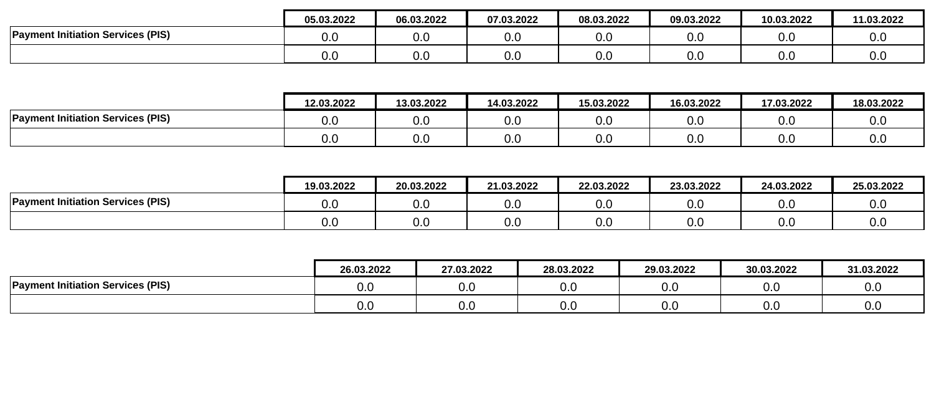|                                          | 05.03.2022 | 06.03.2022 | 07.03.2022 | 08.03.2022 | 09.03.2022 | 10.03.2022 | 11.03.2022 |
|------------------------------------------|------------|------------|------------|------------|------------|------------|------------|
| <b>Payment Initiation Services (PIS)</b> | u.u        | v.v        | v.u        | 0.C        | 0.0        | 0.0        | v.v        |
|                                          | ~<br>U.U   | v.v        | o.c        | 0.0        | 0.0        | 0.0        | v.v        |

|                                          | 12.03.2022 | 13.03.2022 | 14.03.2022 | 15.03.2022      | 16.03.2022 | 17.03.2022      | 18.03.2022 |
|------------------------------------------|------------|------------|------------|-----------------|------------|-----------------|------------|
| <b>Payment Initiation Services (PIS)</b> | 0.0        | v.J        | ∪.∪        | <u>ົ</u><br>v.v | 0.0        | 0.0             | v.u        |
|                                          | V.U        | v.u        | v.v        | v.v             | 0.0        | 0. <sub>C</sub> | v.u        |

|                                          | 19.03.2022 | 20.03.2022 | 21.03.2022 | 22.03.2022 | 23.03.2022 | 24.03.2022 | 25.03.2022 |
|------------------------------------------|------------|------------|------------|------------|------------|------------|------------|
| <b>Payment Initiation Services (PIS)</b> | u.u        | v.u        | v.v        | 0.0        | v.v        | 0.0        | 0.0        |
|                                          | U.C        | v.u        | v.v        | 0.0        | v.v        | 0.0        | 0.0        |

|                                          | 26.03.2022 | 27.03.2022 | 28.03.2022 | 29.03.2022 | 30.03.2022 | 31.03.2022 |
|------------------------------------------|------------|------------|------------|------------|------------|------------|
| <b>Payment Initiation Services (PIS)</b> | v.u        | v.v        | v.v        | 0.0        | 0.0        | v.v        |
|                                          | v.u        | v.v        | v.v        | 0.0        | 0.0        | v.v        |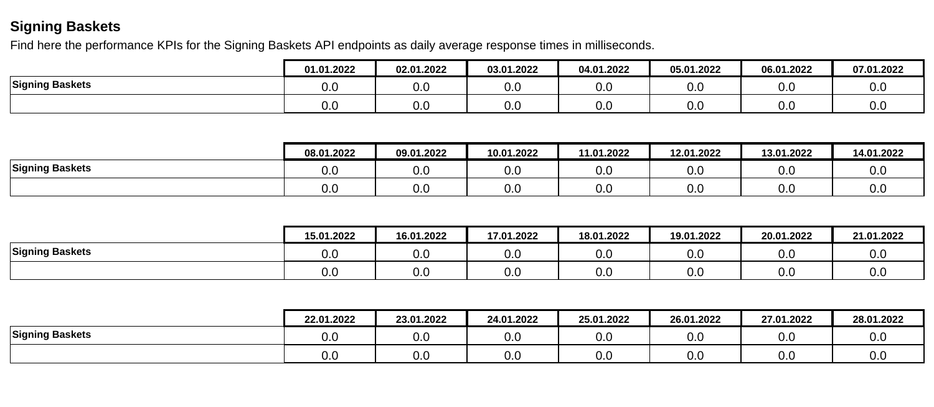## **Signing Baskets**

Find here the performance KPIs for the Signing Baskets API endpoints as daily average response times in milliseconds.

|                 | 01.01.2022 | 02.01.2022 | 03.01.2022 | 04.01.2022 | 05.01.2022 | 06.01.2022 | 07.01.2022 |
|-----------------|------------|------------|------------|------------|------------|------------|------------|
| Signing Baskets | 0.C        | v.v        | 0.0        | 0.0        | v.u        | u.c        | v.v        |
|                 | 0.0        | ົ<br>v.v   | 0.0        | 0.0        | v.u        | o.u        | v.v        |

|                        | 08.01.2022 | 09.01.2022 | 10.01.2022 | 11.01.2022 | 12.01.2022 | 13.01.2022 | 14.01.2022 |
|------------------------|------------|------------|------------|------------|------------|------------|------------|
| <b>Signing Baskets</b> | v.v        | v.v        | 0.0        | v.v        | v.v        | n r<br>v.v | v.u        |
|                        | v.v        | 0.0        | 0.0        | v.v        | v.v        | ∩ ∩<br>v.v | v.u        |

|                 | 15.01.2022 | 16.01.2022 | 17.01.2022 | 18.01.2022 | 19.01.2022 | 20.01.2022 | 21.01.2022 |
|-----------------|------------|------------|------------|------------|------------|------------|------------|
| Signing Baskets | v.v        | 0.C        | v.u        | v.v        | 0.0        | 0.0        | v.v        |
|                 | v.v        | 0.C        | 0.0        | v.v        | 0.0        | 0.0        | v.v        |

|                 | 22.01.2022 | 23.01.2022 | 24.01.2022 | 25.01.2022      | 26.01.2022 | 27.01.2022 | 28.01.2022 |
|-----------------|------------|------------|------------|-----------------|------------|------------|------------|
| Signing Baskets | 0.0        | v.u        | v.v        | 0.C             | 0.0        | 0.0        | 0.0        |
|                 | 0.0        | v.u        | v.v        | 0. <sub>C</sub> | 0.0        | 0.0        | 0.0        |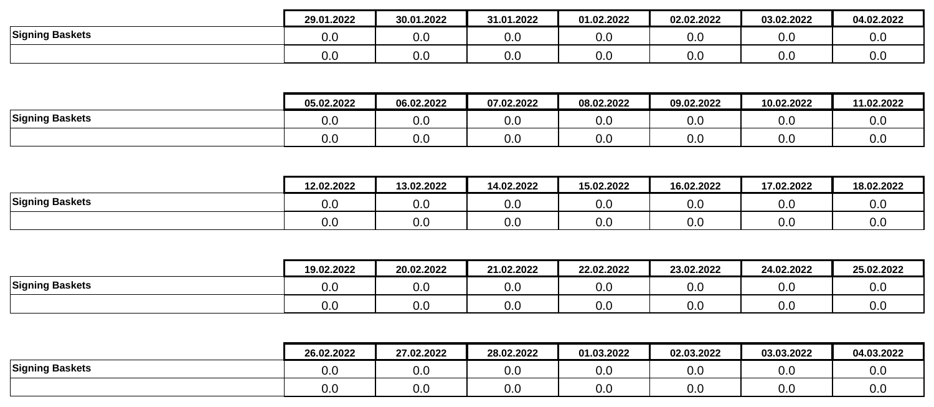|                        | 29.01.2022 | 30.01.2022      | 31.01.2022 | 01.02.2022 | 02.02.2022           | 03.02.2022      | 04.02.2022 |
|------------------------|------------|-----------------|------------|------------|----------------------|-----------------|------------|
| <b>Signing Baskets</b> | v.v        | 0.เ             | v.v        | 0.0        | $\sim$ $\sim$<br>v.v | 0. <sub>C</sub> | v.v        |
|                        | v.v        | 0. <sub>C</sub> | v.v        | 0.0        | $\sim$ $\sim$<br>v.v | 0. <sub>C</sub> | v.v        |

|                        | 05.02.2022 | 06.02.2022 | 07.02.2022 | 08.02.2022      | 09.02.2022 | 10.02.2022      | 11.02.2022 |
|------------------------|------------|------------|------------|-----------------|------------|-----------------|------------|
| <b>Signing Baskets</b> | 0.0        | v.u        | v.v        | ົ<br>v.v        | v.u        | 0. <sub>C</sub> | v.u        |
|                        | 0.0        | v.u        | v.v        | <u>ົ</u><br>v.v | 0.0        | 0. <sub>C</sub> | v.u        |

|                        | 12.02.2022 | 13.02.2022 | 14.02.2022 | 15.02.2022      | 16.02.2022 | 17.02.2022 | 18.02.2022        |
|------------------------|------------|------------|------------|-----------------|------------|------------|-------------------|
| <b>Signing Baskets</b> | v.u        | v.u        | v.v        | 0. <sub>C</sub> | 0.0        | n r<br>v.v | $\Omega$ .<br>v.v |
|                        | v.u        | v.u        | v.v        | 0. <sub>C</sub> | 0.0        | v.v        | $\Omega$<br>v.v   |

|                        | 19.02.2022 | 20.02.2022           | 21.02.2022 | 22.02.2022 | 23.02.2022           | 24.02.2022 | 25.02.2022 |
|------------------------|------------|----------------------|------------|------------|----------------------|------------|------------|
| <b>Signing Baskets</b> | v.v        | ∩ ∩<br>v.v           | 0.0        | 0.0        | $\sim$ $\sim$<br>v.v | 0.0        | v.u        |
|                        | v.v        | $\sim$ $\sim$<br>v.v | 0.C        | 0.0        | v.v                  | 0.0        | v.u        |

|                        | 26.02.2022 | 27.02.2022      | 28.02.2022 | 01.03.2022      | 02.03.2022      | 03.03.2022 | 04.03.2022 |
|------------------------|------------|-----------------|------------|-----------------|-----------------|------------|------------|
| <b>Signing Baskets</b> | 0.0        | 0. <sub>C</sub> | v.v        | <u>_</u><br>v.v | 0.0             | 0.0        | v.u        |
|                        | 0.0        | 0.0             | v.v        | v.v             | 0. <sub>C</sub> | 0.0        | v.v        |